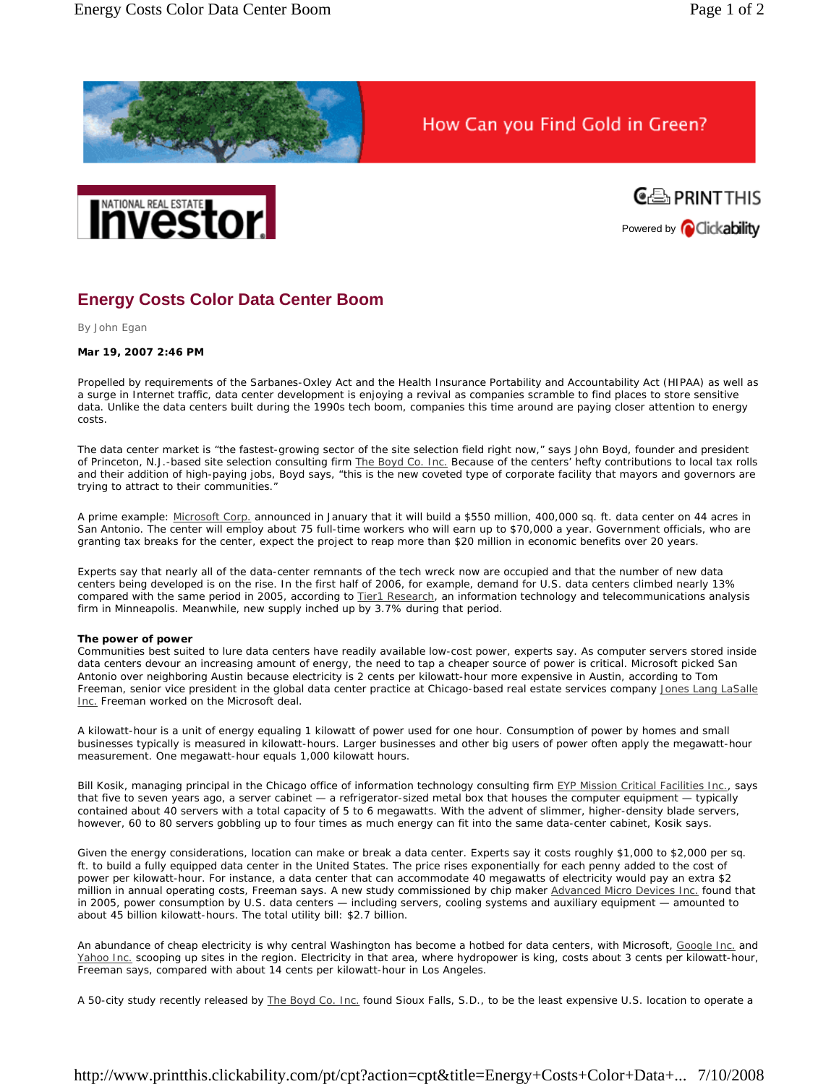

How Can you Find Gold in Green?





## **Energy Costs Color Data Center Boom**

*By John Egan* 

## **Mar 19, 2007 2:46 PM**

Propelled by requirements of the Sarbanes-Oxley Act and the Health Insurance Portability and Accountability Act (HIPAA) as well as a surge in Internet traffic, data center development is enjoying a revival as companies scramble to find places to store sensitive data. Unlike the data centers built during the 1990s tech boom, companies this time around are paying closer attention to energy costs.

The data center market is "the fastest-growing sector of the site selection field right now," says John Boyd, founder and president of Princeton, N.J.-based site selection consulting firm The Boyd Co. Inc. Because of the centers' hefty contributions to local tax rolls and their addition of high-paying jobs, Boyd says, "this is the new coveted type of corporate facility that mayors and governors are trying to attract to their communities."

A prime example: Microsoft Corp. announced in January that it will build a \$550 million, 400,000 sq. ft. data center on 44 acres in San Antonio. The center will employ about 75 full-time workers who will earn up to \$70,000 a year. Government officials, who are granting tax breaks for the center, expect the project to reap more than \$20 million in economic benefits over 20 years.

Experts say that nearly all of the data-center remnants of the tech wreck now are occupied and that the number of new data centers being developed is on the rise. In the first half of 2006, for example, demand for U.S. data centers climbed nearly 13% compared with the same period in 2005, according to Tier1 Research, an information technology and telecommunications analysis firm in Minneapolis. Meanwhile, new supply inched up by 3.7% during that period.

## **The power of power**

Communities best suited to lure data centers have readily available low-cost power, experts say. As computer servers stored inside data centers devour an increasing amount of energy, the need to tap a cheaper source of power is critical. Microsoft picked San Antonio over neighboring Austin because electricity is 2 cents per kilowatt-hour more expensive in Austin, according to Tom Freeman, senior vice president in the global data center practice at Chicago-based real estate services company Jones Lang LaSalle Inc. Freeman worked on the Microsoft deal.

A kilowatt-hour is a unit of energy equaling 1 kilowatt of power used for one hour. Consumption of power by homes and small businesses typically is measured in kilowatt-hours. Larger businesses and other big users of power often apply the megawatt-hour measurement. One megawatt-hour equals 1,000 kilowatt hours.

Bill Kosik, managing principal in the Chicago office of information technology consulting firm EYP Mission Critical Facilities Inc., says that five to seven years ago, a server cabinet — a refrigerator-sized metal box that houses the computer equipment — typically contained about 40 servers with a total capacity of 5 to 6 megawatts. With the advent of slimmer, higher-density blade servers, however, 60 to 80 servers gobbling up to four times as much energy can fit into the same data-center cabinet, Kosik says.

Given the energy considerations, location can make or break a data center. Experts say it costs roughly \$1,000 to \$2,000 per sq. ft. to build a fully equipped data center in the United States. The price rises exponentially for each penny added to the cost of power per kilowatt-hour. For instance, a data center that can accommodate 40 megawatts of electricity would pay an extra \$2 million in annual operating costs, Freeman says. A new study commissioned by chip maker Advanced Micro Devices Inc. found that in 2005, power consumption by U.S. data centers — including servers, cooling systems and auxiliary equipment — amounted to about 45 billion kilowatt-hours. The total utility bill: \$2.7 billion.

An abundance of cheap electricity is why central Washington has become a hotbed for data centers, with Microsoft, Google Inc. and Yahoo Inc. scooping up sites in the region. Electricity in that area, where hydropower is king, costs about 3 cents per kilowatt-hour, Freeman says, compared with about 14 cents per kilowatt-hour in Los Angeles.

A 50-city study recently released by The Boyd Co. Inc. found Sioux Falls, S.D., to be the least expensive U.S. location to operate a